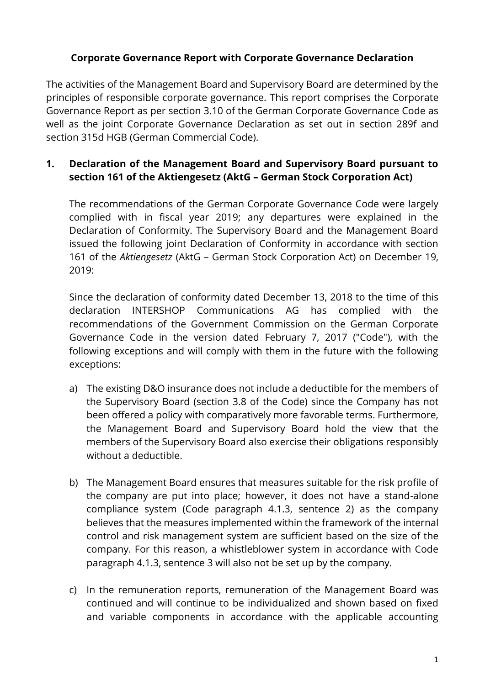# **Corporate Governance Report with Corporate Governance Declaration**

The activities of the Management Board and Supervisory Board are determined by the principles of responsible corporate governance. This report comprises the Corporate Governance Report as per section 3.10 of the German Corporate Governance Code as well as the joint Corporate Governance Declaration as set out in section 289f and section 315d HGB (German Commercial Code).

# **1. Declaration of the Management Board and Supervisory Board pursuant to section 161 of the Aktiengesetz (AktG – German Stock Corporation Act)**

The recommendations of the German Corporate Governance Code were largely complied with in fiscal year 2019; any departures were explained in the Declaration of Conformity. The Supervisory Board and the Management Board issued the following joint Declaration of Conformity in accordance with section 161 of the *Aktiengesetz* (AktG – German Stock Corporation Act) on December 19, 2019:

Since the declaration of conformity dated December 13, 2018 to the time of this declaration INTERSHOP Communications AG has complied with the recommendations of the Government Commission on the German Corporate Governance Code in the version dated February 7, 2017 ("Code"), with the following exceptions and will comply with them in the future with the following exceptions:

- a) The existing D&O insurance does not include a deductible for the members of the Supervisory Board (section 3.8 of the Code) since the Company has not been offered a policy with comparatively more favorable terms. Furthermore, the Management Board and Supervisory Board hold the view that the members of the Supervisory Board also exercise their obligations responsibly without a deductible.
- b) The Management Board ensures that measures suitable for the risk profile of the company are put into place; however, it does not have a stand-alone compliance system (Code paragraph 4.1.3, sentence 2) as the company believes that the measures implemented within the framework of the internal control and risk management system are sufficient based on the size of the company. For this reason, a whistleblower system in accordance with Code paragraph 4.1.3, sentence 3 will also not be set up by the company.
- c) In the remuneration reports, remuneration of the Management Board was continued and will continue to be individualized and shown based on fixed and variable components in accordance with the applicable accounting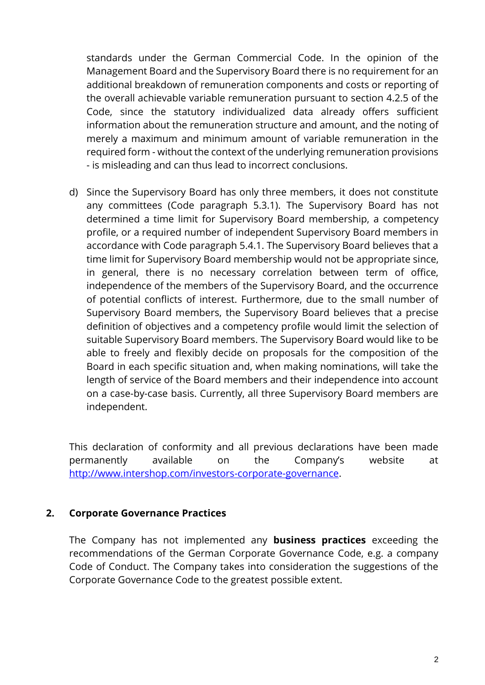standards under the German Commercial Code. In the opinion of the Management Board and the Supervisory Board there is no requirement for an additional breakdown of remuneration components and costs or reporting of the overall achievable variable remuneration pursuant to section 4.2.5 of the Code, since the statutory individualized data already offers sufficient information about the remuneration structure and amount, and the noting of merely a maximum and minimum amount of variable remuneration in the required form - without the context of the underlying remuneration provisions - is misleading and can thus lead to incorrect conclusions.

d) Since the Supervisory Board has only three members, it does not constitute any committees (Code paragraph 5.3.1). The Supervisory Board has not determined a time limit for Supervisory Board membership, a competency profile, or a required number of independent Supervisory Board members in accordance with Code paragraph 5.4.1. The Supervisory Board believes that a time limit for Supervisory Board membership would not be appropriate since, in general, there is no necessary correlation between term of office, independence of the members of the Supervisory Board, and the occurrence of potential conflicts of interest. Furthermore, due to the small number of Supervisory Board members, the Supervisory Board believes that a precise definition of objectives and a competency profile would limit the selection of suitable Supervisory Board members. The Supervisory Board would like to be able to freely and flexibly decide on proposals for the composition of the Board in each specific situation and, when making nominations, will take the length of service of the Board members and their independence into account on a case-by-case basis. Currently, all three Supervisory Board members are independent.

This declaration of conformity and all previous declarations have been made permanently available on the Company's website at [http://www.intershop.com/investors-corporate-governance.](http://www.intershop.com/investors-corporate-governance)

#### **2. Corporate Governance Practices**

The Company has not implemented any **business practices** exceeding the recommendations of the German Corporate Governance Code, e.g. a company Code of Conduct. The Company takes into consideration the suggestions of the Corporate Governance Code to the greatest possible extent.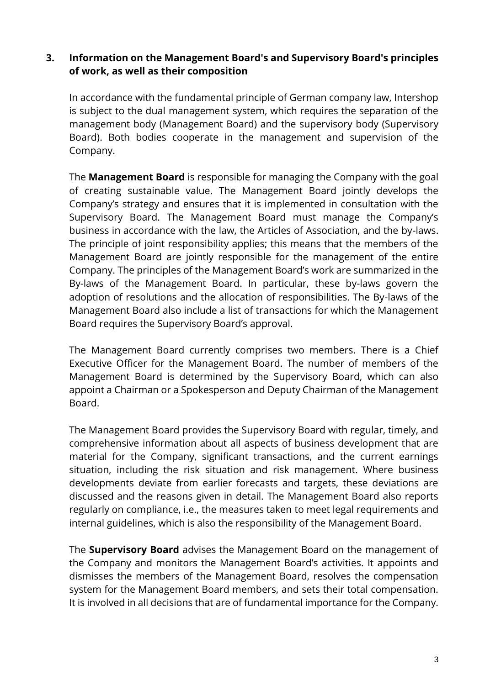# **3. Information on the Management Board's and Supervisory Board's principles of work, as well as their composition**

In accordance with the fundamental principle of German company law, Intershop is subject to the dual management system, which requires the separation of the management body (Management Board) and the supervisory body (Supervisory Board). Both bodies cooperate in the management and supervision of the Company.

The **Management Board** is responsible for managing the Company with the goal of creating sustainable value. The Management Board jointly develops the Company's strategy and ensures that it is implemented in consultation with the Supervisory Board. The Management Board must manage the Company's business in accordance with the law, the Articles of Association, and the by-laws. The principle of joint responsibility applies; this means that the members of the Management Board are jointly responsible for the management of the entire Company. The principles of the Management Board's work are summarized in the By-laws of the Management Board. In particular, these by-laws govern the adoption of resolutions and the allocation of responsibilities. The By-laws of the Management Board also include a list of transactions for which the Management Board requires the Supervisory Board's approval.

The Management Board currently comprises two members. There is a Chief Executive Officer for the Management Board. The number of members of the Management Board is determined by the Supervisory Board, which can also appoint a Chairman or a Spokesperson and Deputy Chairman of the Management Board.

The Management Board provides the Supervisory Board with regular, timely, and comprehensive information about all aspects of business development that are material for the Company, significant transactions, and the current earnings situation, including the risk situation and risk management. Where business developments deviate from earlier forecasts and targets, these deviations are discussed and the reasons given in detail. The Management Board also reports regularly on compliance, i.e., the measures taken to meet legal requirements and internal guidelines, which is also the responsibility of the Management Board.

The **Supervisory Board** advises the Management Board on the management of the Company and monitors the Management Board's activities. It appoints and dismisses the members of the Management Board, resolves the compensation system for the Management Board members, and sets their total compensation. It is involved in all decisions that are of fundamental importance for the Company.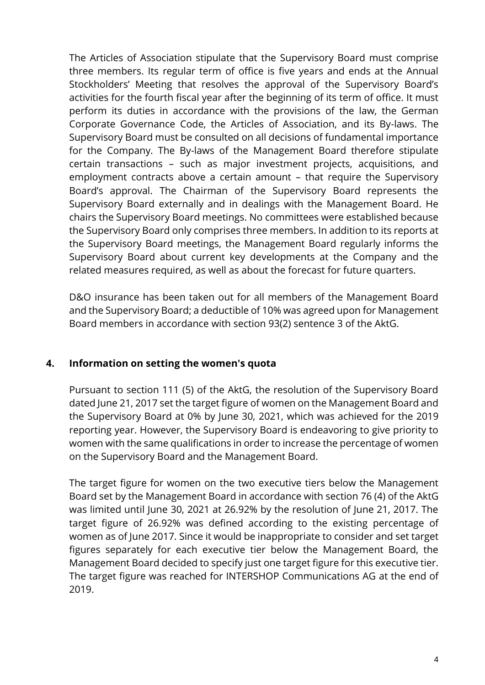The Articles of Association stipulate that the Supervisory Board must comprise three members. Its regular term of office is five years and ends at the Annual Stockholders' Meeting that resolves the approval of the Supervisory Board's activities for the fourth fiscal year after the beginning of its term of office. It must perform its duties in accordance with the provisions of the law, the German Corporate Governance Code, the Articles of Association, and its By-laws. The Supervisory Board must be consulted on all decisions of fundamental importance for the Company. The By-laws of the Management Board therefore stipulate certain transactions – such as major investment projects, acquisitions, and employment contracts above a certain amount – that require the Supervisory Board's approval. The Chairman of the Supervisory Board represents the Supervisory Board externally and in dealings with the Management Board. He chairs the Supervisory Board meetings. No committees were established because the Supervisory Board only comprises three members. In addition to its reports at the Supervisory Board meetings, the Management Board regularly informs the Supervisory Board about current key developments at the Company and the related measures required, as well as about the forecast for future quarters.

D&O insurance has been taken out for all members of the Management Board and the Supervisory Board; a deductible of 10% was agreed upon for Management Board members in accordance with section 93(2) sentence 3 of the AktG.

# **4. Information on setting the women's quota**

Pursuant to section 111 (5) of the AktG, the resolution of the Supervisory Board dated June 21, 2017 set the target figure of women on the Management Board and the Supervisory Board at 0% by June 30, 2021, which was achieved for the 2019 reporting year. However, the Supervisory Board is endeavoring to give priority to women with the same qualifications in order to increase the percentage of women on the Supervisory Board and the Management Board.

The target figure for women on the two executive tiers below the Management Board set by the Management Board in accordance with section 76 (4) of the AktG was limited until June 30, 2021 at 26.92% by the resolution of June 21, 2017. The target figure of 26.92% was defined according to the existing percentage of women as of June 2017. Since it would be inappropriate to consider and set target figures separately for each executive tier below the Management Board, the Management Board decided to specify just one target figure for this executive tier. The target figure was reached for INTERSHOP Communications AG at the end of 2019.